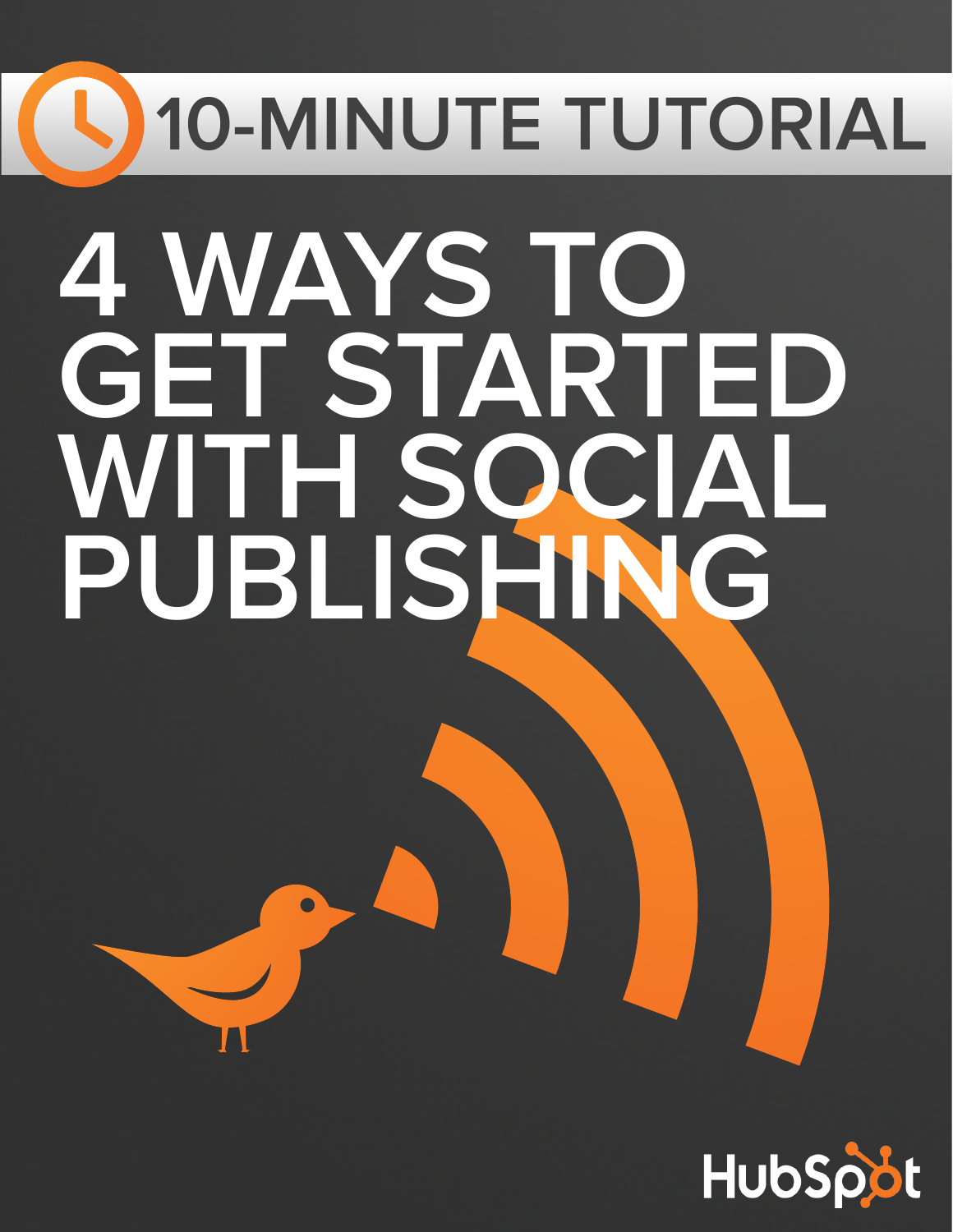# **10-MINUTE TUTORIAL 4 WAYS TO GET STARTED WITH SOCIAL PUBLISHING**

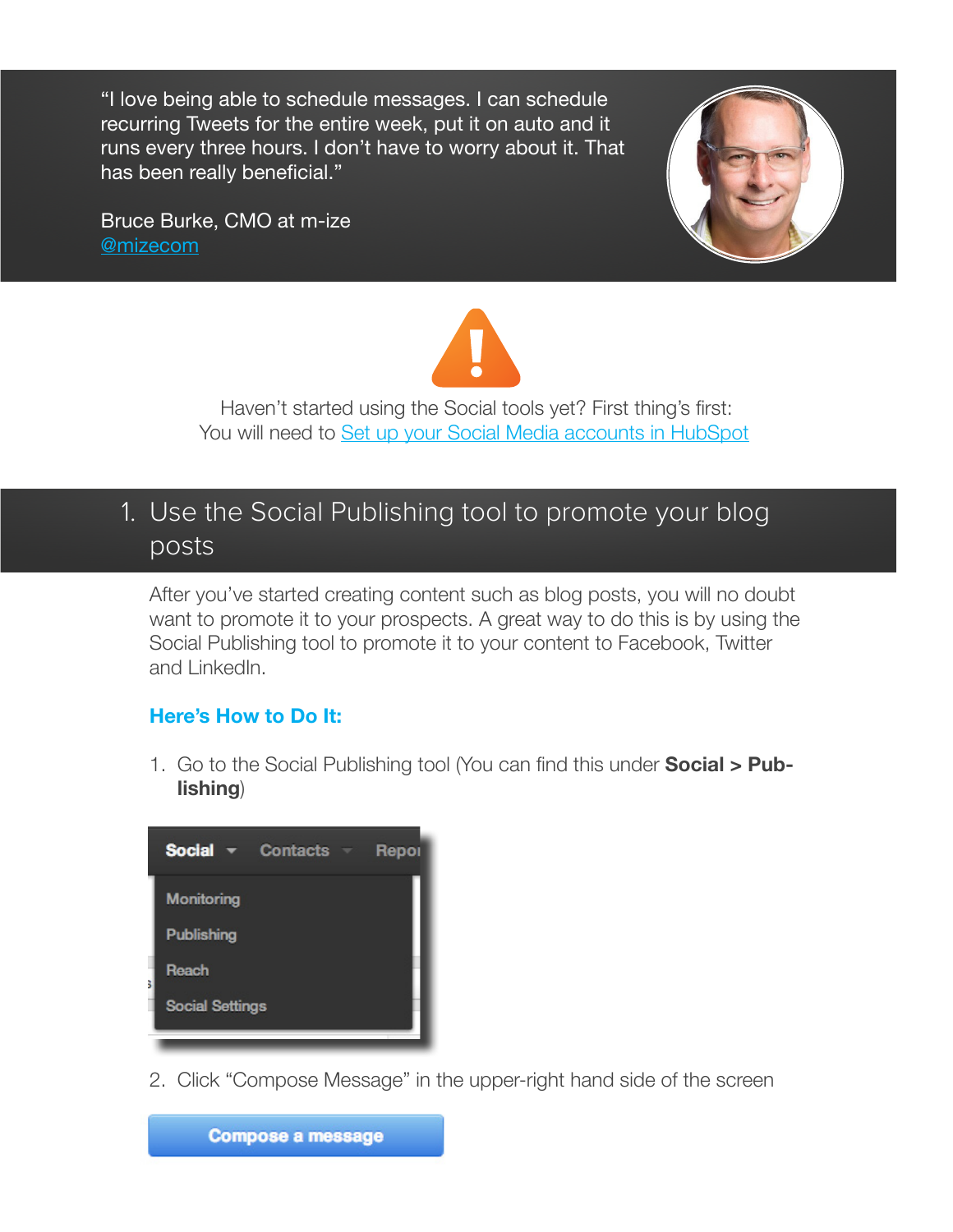"I love being able to schedule messages. I can schedule recurring Tweets for the entire week, put it on auto and it runs every three hours. I don't have to worry about it. That has been really beneficial."

Bruce Burke, CMO at m-ize [@mizecom](https://twitter.com/mizecom)





Haven't started using the Social tools yet? First thing's first: You will need to [Set up your Social Media accounts in HubSpot!](https://app.hubspot.com/l/social)

## 1. Use the Social Publishing tool to promote your blog posts

After you've started creating content such as blog posts, you will no doubt want to promote it to your prospects. A great way to do this is by using the Social Publishing tool to promote it to your content to Facebook, Twitter and LinkedIn.

#### **Here's How to Do It:**

1. Go to the Social Publishing tool (You can find this under **Social > Publishing**)

| <b>Social <math>\mathbf{\tau}</math></b> Contacts $\mathbf{\tau}$ | Repor |
|-------------------------------------------------------------------|-------|
| <b>Monitoring</b>                                                 |       |
| <b>Publishing</b>                                                 |       |
| Reach                                                             |       |
| <b>Social Settings</b>                                            |       |
|                                                                   |       |

2. Click "Compose Message" in the upper-right hand side of the screen

**Compose a message**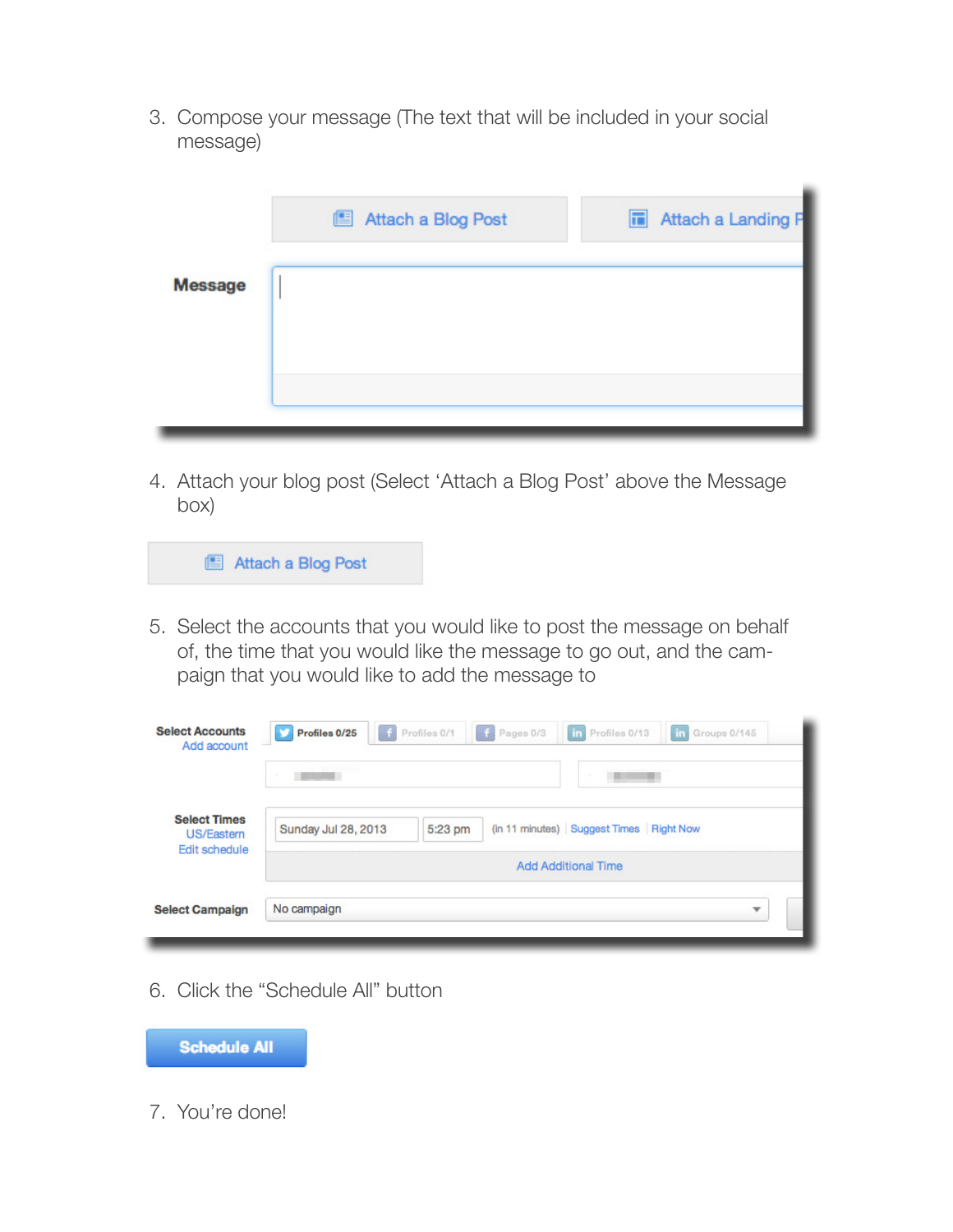3. Compose your message (The text that will be included in your social message)

|                | Attach a Blog Post | <b>Fi</b> Attach a Landing F |
|----------------|--------------------|------------------------------|
| <b>Message</b> |                    |                              |
|                |                    |                              |
|                |                    |                              |
|                |                    |                              |

4. Attach your blog post (Select 'Attach a Blog Post' above the Message box)

|  |  | Attach a Blog Post |  |
|--|--|--------------------|--|
|--|--|--------------------|--|

5. Select the accounts that you would like to post the message on behalf of, the time that you would like the message to go out, and the campaign that you would like to add the message to

| <b>Select Accounts</b><br>Add account                            | Profiles 0/25<br>Profiles 0/1<br>in Profiles 0/13<br>$\mathbf{f}$<br>F Pages 0/3<br>in Groups 0/145 |  |  |  |
|------------------------------------------------------------------|-----------------------------------------------------------------------------------------------------|--|--|--|
|                                                                  | $\sim$                                                                                              |  |  |  |
| <b>Select Times</b><br><b>US/Eastern</b><br><b>Edit schedule</b> | (in 11 minutes) Suggest Times Right Now<br>Sunday Jul 28, 2013<br>5:23 pm                           |  |  |  |
|                                                                  | <b>Add Additional Time</b>                                                                          |  |  |  |
| <b>Select Campaign</b>                                           | No campaign<br>▼                                                                                    |  |  |  |
|                                                                  |                                                                                                     |  |  |  |

6. Click the "Schedule All" button



7. You're done!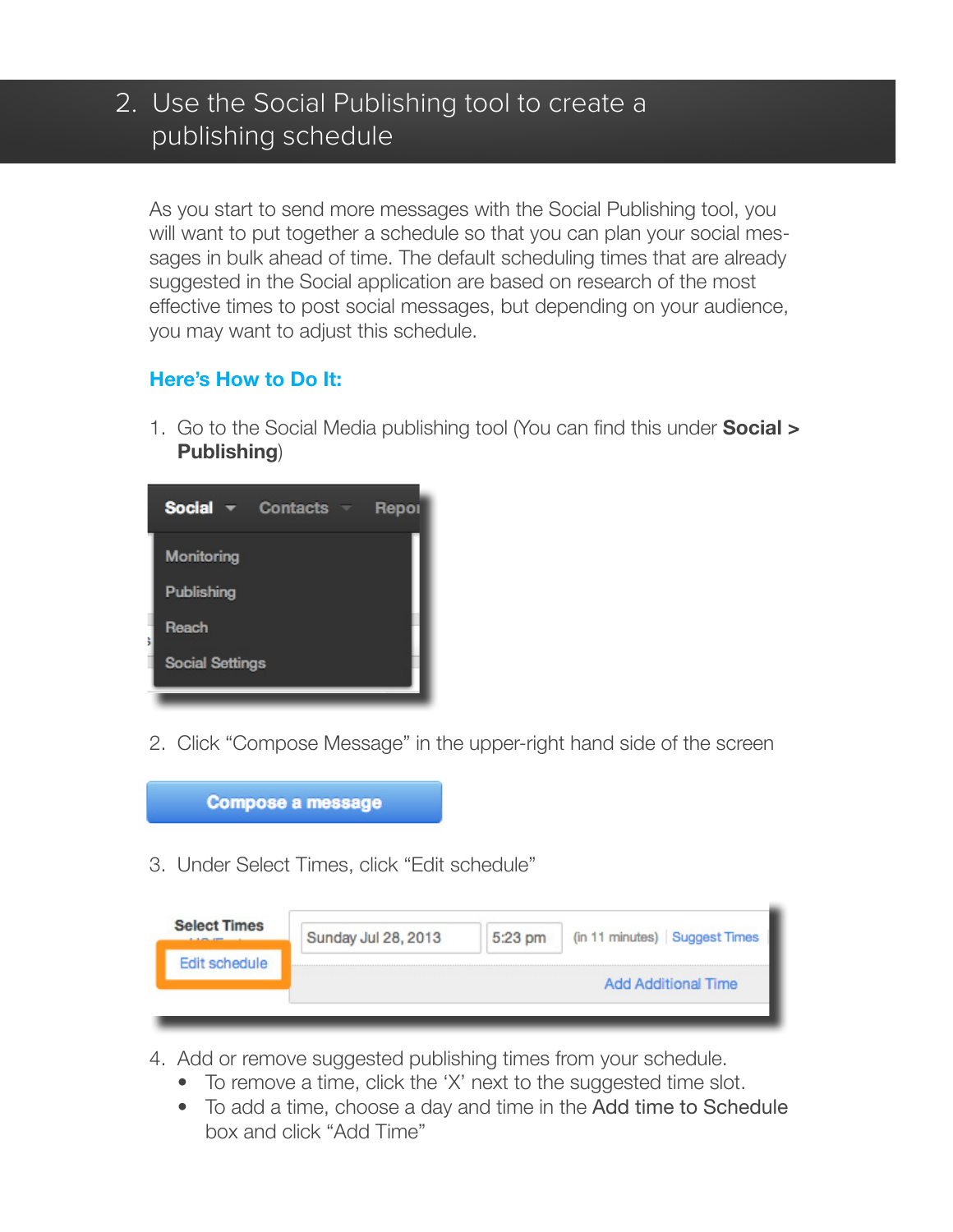## 2. Use the Social Publishing tool to create a publishing schedule

As you start to send more messages with the Social Publishing tool, you will want to put together a schedule so that you can plan your social messages in bulk ahead of time. The default scheduling times that are already suggested in the Social application are based on research of the most effective times to post social messages, but depending on your audience, you may want to adjust this schedule.

#### **Here's How to Do It:**

1. Go to the Social Media publishing tool (You can find this under **Social > Publishing**)



2. Click "Compose Message" in the upper-right hand side of the screen



3. Under Select Times, click "Edit schedule"

| <b>Select Times</b><br><b><i><u>A R AND AND COMPANY OF REAL PROPERTY.</u></i></b> | Sunday Jul 28, 2013 | 5:23 pm | (in 11 minutes) Suggest Times |
|-----------------------------------------------------------------------------------|---------------------|---------|-------------------------------|
| Edit schedule                                                                     |                     |         | <b>Add Additional Time</b>    |

- 4. Add or remove suggested publishing times from your schedule.
	- To remove a time, click the 'X' next to the suggested time slot.
	- To add a time, choose a day and time in the Add time to Schedule box and click "Add Time"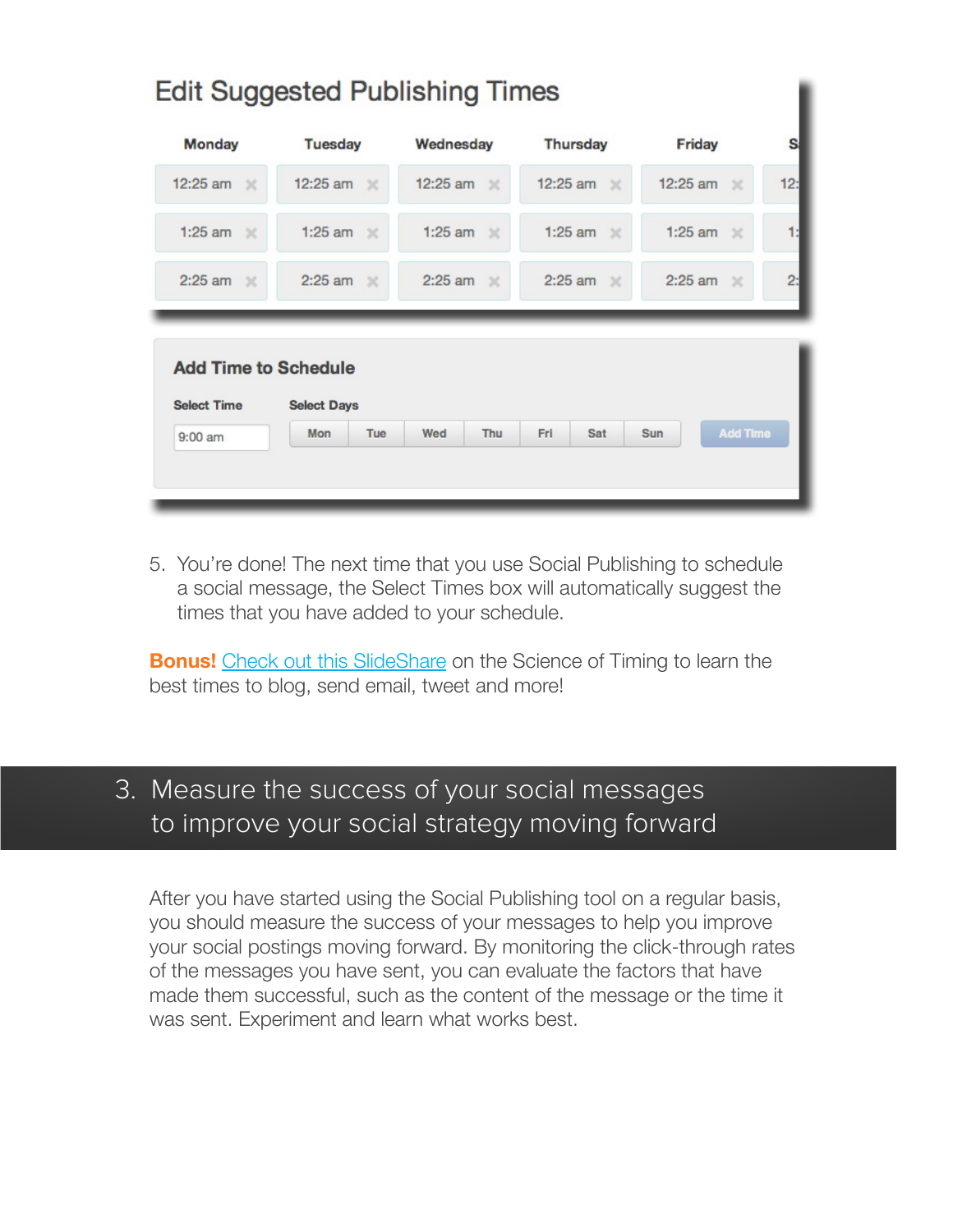| <b>Monday</b>                                     | <b>Tuesday</b>        | Wednesday              | <b>Thursday</b>   | Friday                |     |
|---------------------------------------------------|-----------------------|------------------------|-------------------|-----------------------|-----|
| 12:25 am $\mathbb{X}$                             | 12:25 am $\mathbb{X}$ | 12:25 am $\mathbb{X}$  | 12:25 am $\times$ | 12:25 am $\mathbb{X}$ | 12: |
| 1:25 am $\mathbb{X}$                              | 1:25 am $\times$      | 1:25 am $\mathbb{X}$   | 1:25 am $\times$  | 1:25 am $\mathbb{X}$  |     |
|                                                   |                       |                        |                   |                       |     |
| $2:25$ am $\mathbb{X}$                            | 2:25 am $\mathbb{X}$  | $2:25$ am $\mathbb{X}$ | $2:25$ am $\%$    | 2:25 am $\,\times\,$  |     |
| <b>Add Time to Schedule</b><br><b>Select Time</b> | <b>Select Days</b>    |                        |                   |                       |     |

alla Organizational Druholle block Theo

5. You're done! The next time that you use Social Publishing to schedule a social message, the Select Times box will automatically suggest the times that you have added to your schedule.

**Bonus!** [Check out this SlideShare](http://www.slideshare.net/HubSpot/the-science-of-timing) on the Science of Timing to learn the best times to blog, send email, tweet and more!

### 3. Measure the success of your social messages to improve your social strategy moving forward

After you have started using the Social Publishing tool on a regular basis, you should measure the success of your messages to help you improve your social postings moving forward. By monitoring the click-through rates of the messages you have sent, you can evaluate the factors that have made them successful, such as the content of the message or the time it was sent. Experiment and learn what works best.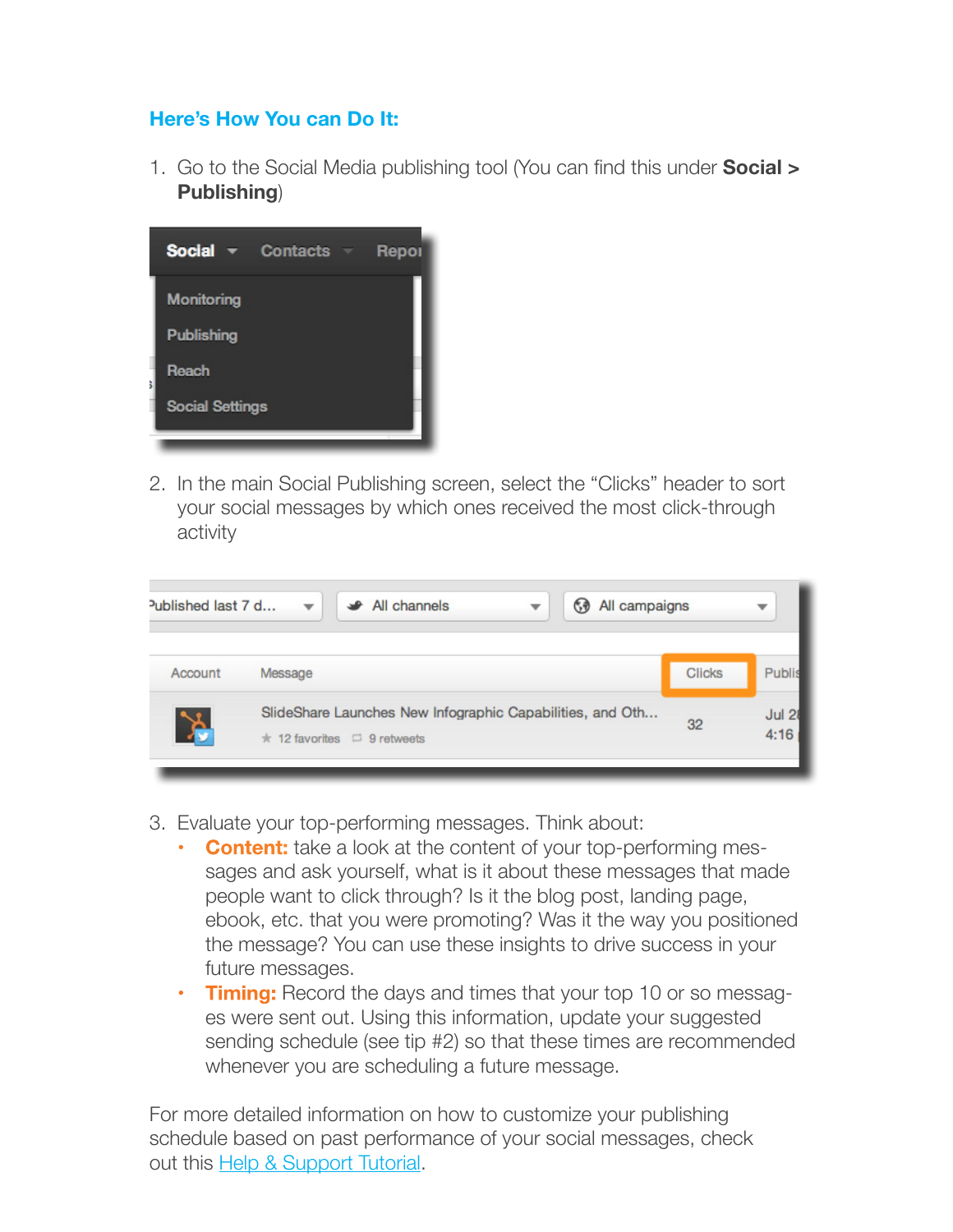#### **Here's How You can Do It:**

1. Go to the Social Media publishing tool (You can find this under **Social > Publishing**)



2. In the main Social Publishing screen, select the "Clicks" header to sort your social messages by which ones received the most click-through activity

| Published last $7 d$ | All channels                                                                                        |  | All campaigns |               |                       |
|----------------------|-----------------------------------------------------------------------------------------------------|--|---------------|---------------|-----------------------|
| Account              | Message                                                                                             |  |               | <b>Clicks</b> | Publis                |
| )<br>)<br>(          | SlideShare Launches New Infographic Capabilities, and Oth<br>$\star$ 12 favorites $\Box$ 9 retweets |  |               | 32            | <b>Jul 28</b><br>4:16 |

- 3. Evaluate your top-performing messages. Think about:
	- **• Content:** take a look at the content of your top-performing messages and ask yourself, what is it about these messages that made people want to click through? Is it the blog post, landing page, ebook, etc. that you were promoting? Was it the way you positioned the message? You can use these insights to drive success in your future messages.
	- **Timing:** Record the days and times that your top 10 or so messages were sent out. Using this information, update your suggested sending schedule (see tip #2) so that these times are recommended whenever you are scheduling a future message.

For more detailed information on how to customize your publishing schedule based on past performance of your social messages, check out this [Help & Support Tutorial](http://help.hubspot.com/articles/Tutorial/create-a-custom-publishing-schedule-in-your-hubspot-social-media-application).